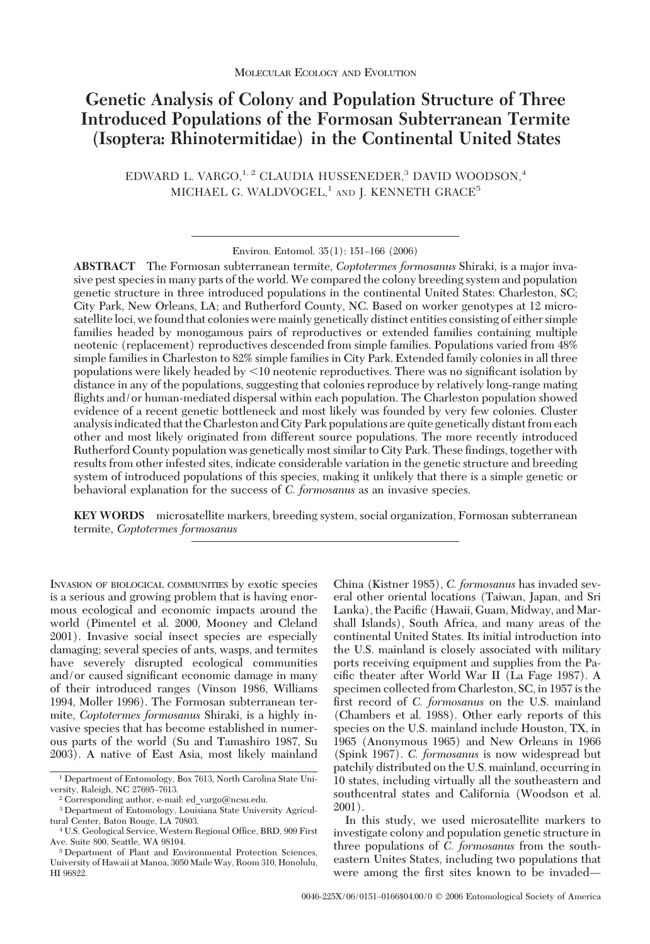# **Genetic Analysis of Colony and Population Structure of Three Introduced Populations of the Formosan Subterranean Termite (Isoptera: Rhinotermitidae) in the Continental United States**

EDWARD L. VARGO,  $1, 2$  CLAUDIA HUSSENEDER,<sup>3</sup> DAVID WOODSON,<sup>4</sup> MICHAEL G. WALDVOGEL, $^1$  and J. KENNETH GRACE<sup>5</sup>

**ABSTRACT** The Formosan subterranean termite, *Coptotermes formosanus* Shiraki, is a major invasive pest species in many parts of the world. We compared the colony breeding system and population genetic structure in three introduced populations in the continental United States: Charleston, SC; City Park, New Orleans, LA; and Rutherford County, NC. Based on worker genotypes at 12 microsatellite loci, we found that colonies were mainly genetically distinct entities consisting of either simple families headed by monogamous pairs of reproductives or extended families containing multiple neotenic (replacement) reproductives descended from simple families. Populations varied from 48% simple families in Charleston to 82% simple families in City Park. Extended family colonies in all three populations were likely headed by  $\leq 10$  neotenic reproductives. There was no significant isolation by distance in any of the populations, suggesting that colonies reproduce by relatively long-range mating flights and/or human-mediated dispersal within each population. The Charleston population showed evidence of a recent genetic bottleneck and most likely was founded by very few colonies. Cluster analysisindicated that the Charleston and City Park populations are quite genetically distant from each other and most likely originated from different source populations. The more recently introduced Rutherford County population was genetically most similar to City Park. These findings, together with results from other infested sites, indicate considerable variation in the genetic structure and breeding system of introduced populations of this species, making it unlikely that there is a simple genetic or behavioral explanation for the success of *C. formosanus* as an invasive species.

**KEY WORDS** microsatellite markers, breeding system, social organization, Formosan subterranean termite, *Coptotermes formosanus*

INVASION OF BIOLOGICAL COMMUNITIES by exotic species is a serious and growing problem that is having enormous ecological and economic impacts around the world (Pimentel et al. 2000, Mooney and Cleland 2001). Invasive social insect species are especially damaging; several species of ants, wasps, and termites have severely disrupted ecological communities and/or caused significant economic damage in many of their introduced ranges (Vinson 1986, Williams 1994, Moller 1996). The Formosan subterranean termite, *Coptotermes formosanus* Shiraki, is a highly invasive species that has become established in numerous parts of the world (Su and Tamashiro 1987, Su 2003). A native of East Asia, most likely mainland China (Kistner 1985), *C. formosanus* has invaded several other oriental locations (Taiwan, Japan, and Sri Lanka), the Pacific (Hawaii, Guam, Midway, and Marshall Islands), South Africa, and many areas of the continental United States. Its initial introduction into the U.S. mainland is closely associated with military ports receiving equipment and supplies from the Pacific theater after World War II (La Fage 1987). A specimen collected from Charleston, SC, in 1957 is the first record of *C. formosanus* on the U.S. mainland (Chambers et al. 1988). Other early reports of this species on the U.S. mainland include Houston, TX, in 1965 (Anonymous 1965) and New Orleans in 1966 (Spink 1967). *C. formosanus* is now widespread but patchily distributed on the U.S. mainland, occurring in 10 states, including virtually all the southeastern and southcentral states and California (Woodson et al. 2001).

In this study, we used microsatellite markers to investigate colony and population genetic structure in three populations of *C. formosanus* from the southeastern Unites States, including two populations that were among the first sites known to be invaded-

Environ. Entomol. 35(1): 151-166 (2006)

<sup>1</sup> Department of Entomology, Box 7613, North Carolina State University, Raleigh, NC 27695-7613.

<sup>2</sup> Corresponding author, e-mail: ed\_vargo@ncsu.edu.

<sup>3</sup> Department of Entomology, Louisiana State University Agricultural Center, Baton Rouge, LA 70803.

<sup>&</sup>lt;sup>4</sup> U.S. Geological Service, Western Regional Office, BRD, 909 First Ave. Suite 800, Seattle, WA 98104.

<sup>5</sup> Department of Plant and Environmental Protection Sciences, University of Hawaii at Manoa, 3050 Maile Way, Room 310, Honolulu, HI 96822.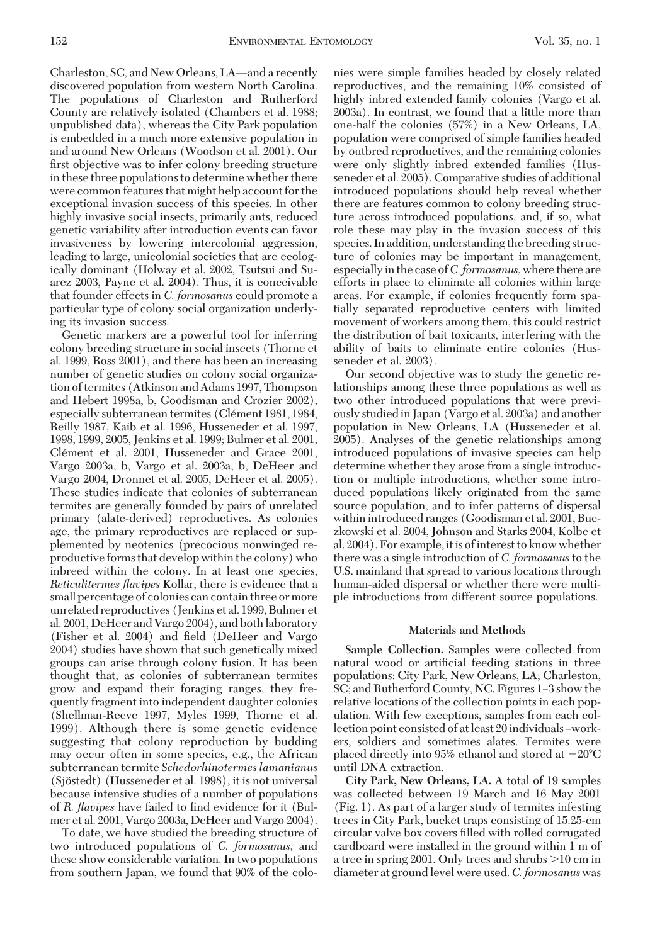Charleston, SC, and New Orleans, LA-and a recently discovered population from western North Carolina. The populations of Charleston and Rutherford County are relatively isolated (Chambers et al. 1988; unpublished data), whereas the City Park population is embedded in a much more extensive population in and around New Orleans (Woodson et al. 2001). Our first objective was to infer colony breeding structure in these three populations to determine whether there were common features that might help account for the exceptional invasion success of this species. In other highly invasive social insects, primarily ants, reduced genetic variability after introduction events can favor invasiveness by lowering intercolonial aggression, leading to large, unicolonial societies that are ecologically dominant (Holway et al. 2002, Tsutsui and Suarez 2003, Payne et al. 2004). Thus, it is conceivable that founder effects in *C. formosanus* could promote a particular type of colony social organization underlying its invasion success.

Genetic markers are a powerful tool for inferring colony breeding structure in social insects (Thorne et al. 1999, Ross 2001), and there has been an increasing number of genetic studies on colony social organization of termites (Atkinson and Adams 1997, Thompson and Hebert 1998a, b, Goodisman and Crozier 2002), especially subterranean termites (Clément 1981, 1984, Reilly 1987, Kaib et al. 1996, Husseneder et al. 1997, 1998, 1999, 2005, Jenkins et al. 1999; Bulmer et al. 2001, Clément et al. 2001, Husseneder and Grace 2001, Vargo 2003a, b, Vargo et al. 2003a, b, DeHeer and Vargo 2004, Dronnet et al. 2005, DeHeer et al. 2005). These studies indicate that colonies of subterranean termites are generally founded by pairs of unrelated primary (alate-derived) reproductives. As colonies age, the primary reproductives are replaced or supplemented by neotenics (precocious nonwinged reproductive forms that develop within the colony) who inbreed within the colony. In at least one species, *Reticulitermes flavipes* Kollar, there is evidence that a small percentage of colonies can contain three or more unrelated reproductives (Jenkins et al. 1999, Bulmer et al. 2001, DeHeer and Vargo 2004), and both laboratory (Fisher et al. 2004) and field (DeHeer and Vargo 2004) studies have shown that such genetically mixed groups can arise through colony fusion. It has been thought that, as colonies of subterranean termites grow and expand their foraging ranges, they frequently fragment into independent daughter colonies (Shellman-Reeve 1997, Myles 1999, Thorne et al. 1999). Although there is some genetic evidence suggesting that colony reproduction by budding may occur often in some species, e.g., the African subterranean termite *Schedorhinotermes lamanianus* (Sjöstedt) (Husseneder et al. 1998), it is not universal because intensive studies of a number of populations of *R. flavipes* have failed to find evidence for it (Bulmer et al. 2001, Vargo 2003a, DeHeer and Vargo 2004).

To date, we have studied the breeding structure of two introduced populations of *C. formosanus,* and these show considerable variation. In two populations from southern Japan, we found that 90% of the colonies were simple families headed by closely related reproductives, and the remaining 10% consisted of highly inbred extended family colonies (Vargo et al. 2003a). In contrast, we found that a little more than one-half the colonies (57%) in a New Orleans, LA, population were comprised of simple families headed by outbred reproductives, and the remaining colonies were only slightly inbred extended families (Husseneder et al. 2005). Comparative studies of additional introduced populations should help reveal whether there are features common to colony breeding structure across introduced populations, and, if so, what role these may play in the invasion success of this species. In addition, understanding the breeding structure of colonies may be important in management, especiallyin the case of*C. formosanus,*where there are efforts in place to eliminate all colonies within large areas. For example, if colonies frequently form spatially separated reproductive centers with limited movement of workers among them, this could restrict the distribution of bait toxicants, interfering with the ability of baits to eliminate entire colonies (Husseneder et al. 2003).

Our second objective was to study the genetic relationships among these three populations as well as two other introduced populations that were previously studied in Japan (Vargo et al. 2003a) and another population in New Orleans, LA (Husseneder et al. 2005). Analyses of the genetic relationships among introduced populations of invasive species can help determine whether they arose from a single introduction or multiple introductions, whether some introduced populations likely originated from the same source population, and to infer patterns of dispersal within introduced ranges (Goodisman et al. 2001, Buczkowski et al. 2004, Johnson and Starks 2004, Kolbe et al. 2004). For example, it is of interest to know whether there was a single introduction of *C. formosanus*to the U.S. mainland that spread to various locations through human-aided dispersal or whether there were multiple introductions from different source populations.

#### **Materials and Methods**

**Sample Collection.** Samples were collected from natural wood or artificial feeding stations in three populations: City Park, New Orleans, LA; Charleston, SC; and Rutherford County, NC. Figures 1-3 show the relative locations of the collection points in each population. With few exceptions, samples from each collection point consisted of at least 20 individuals -workers, soldiers and sometimes alates. Termites were placed directly into 95% ethanol and stored at  $-20^{\circ}\mathrm{C}$ until DNA extraction.

**City Park, New Orleans, LA.** A total of 19 samples was collected between 19 March and 16 May 2001 (Fig. 1). As part of a larger study of termites infesting trees in City Park, bucket traps consisting of 15.25-cm circular valve box covers filled with rolled corrugated cardboard were installed in the ground within 1 m of a tree in spring 2001. Only trees and shrubs  $>10$  cm in diameter at ground level were used.*C. formosanus* was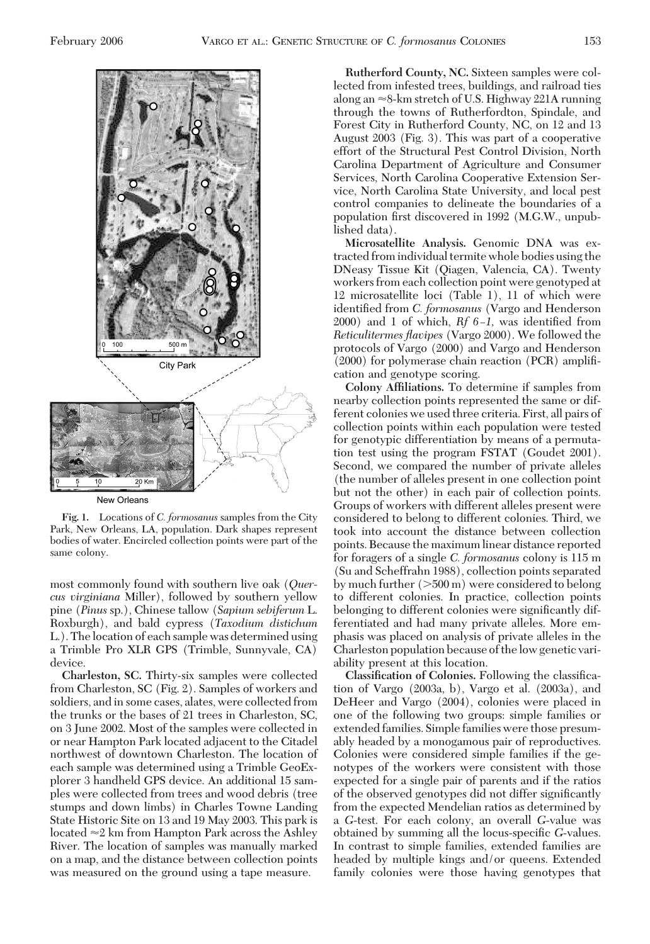

**Fig. 1.** Locations of *C. formosanus* samples from the City Park, New Orleans, LA, population. Dark shapes represent bodies of water. Encircled collection points were part of the same colony.

most commonly found with southern live oak (*Quercus virginiana* Miller), followed by southern yellow pine (*Pinus* sp.), Chinese tallow (*Sapium sebiferum* L. Roxburgh), and bald cypress (*Taxodium distichum* L.). The location of each sample was determined using a Trimble Pro XLR GPS (Trimble, Sunnyvale, CA) device.

**Charleston, SC.** Thirty-six samples were collected from Charleston, SC (Fig. 2). Samples of workers and soldiers, and in some cases, alates, were collected from the trunks or the bases of 21 trees in Charleston, SC, on 3 June 2002. Most of the samples were collected in or near Hampton Park located adjacent to the Citadel northwest of downtown Charleston. The location of each sample was determined using a Trimble GeoExplorer 3 handheld GPS device. An additional 15 samples were collected from trees and wood debris (tree stumps and down limbs) in Charles Towne Landing State Historic Site on 13 and 19 May 2003. This park is located  $\approx$ 2 km from Hampton Park across the Ashley River. The location of samples was manually marked on a map, and the distance between collection points was measured on the ground using a tape measure.

**Rutherford County, NC.** Sixteen samples were collected from infested trees, buildings, and railroad ties along an  $\approx$ 8-km stretch of U.S. Highway 221A running through the towns of Rutherfordton, Spindale, and Forest City in Rutherford County, NC, on 12 and 13 August 2003 (Fig. 3). This was part of a cooperative effort of the Structural Pest Control Division, North Carolina Department of Agriculture and Consumer Services, North Carolina Cooperative Extension Service, North Carolina State University, and local pest control companies to delineate the boundaries of a population first discovered in 1992 (M.G.W., unpublished data).

**Microsatellite Analysis.** Genomic DNA was extracted from individual termite whole bodies using the DNeasy Tissue Kit (Qiagen, Valencia, CA). Twenty workers from each collection point were genotyped at 12 microsatellite loci (Table 1), 11 of which were identified from *C. formosanus* (Vargo and Henderson 2000) and 1 of which, *Rf 6-1*, was identified from *Reticulitermes flavipes* (Vargo 2000). We followed the protocols of Vargo (2000) and Vargo and Henderson  $(2000)$  for polymerase chain reaction  $(PCR)$  amplification and genotype scoring.

**Colony Affiliations.** To determine if samples from nearby collection points represented the same or different colonies we used three criteria. First, all pairs of collection points within each population were tested for genotypic differentiation by means of a permutation test using the program FSTAT (Goudet 2001). Second, we compared the number of private alleles (the number of alleles present in one collection point but not the other) in each pair of collection points. Groups of workers with different alleles present were considered to belong to different colonies. Third, we took into account the distance between collection points. Because the maximum linear distance reported for foragers of a single *C. formosanus* colony is 115 m (Su and Scheffrahn 1988), collection points separated by much further  $(>500 \text{ m})$  were considered to belong to different colonies. In practice, collection points belonging to different colonies were significantly differentiated and had many private alleles. More emphasis was placed on analysis of private alleles in the Charleston population because of thelow genetic variability present at this location.

**Classification of Colonies.** Following the classification of Vargo (2003a, b), Vargo et al. (2003a), and DeHeer and Vargo (2004), colonies were placed in one of the following two groups: simple families or extended families. Simple families were those presumably headed by a monogamous pair of reproductives. Colonies were considered simple families if the genotypes of the workers were consistent with those expected for a single pair of parents and if the ratios of the observed genotypes did not differ significantly from the expected Mendelian ratios as determined by a *G*-test. For each colony, an overall *G*-value was obtained by summing all the locus-specific *G*-values. In contrast to simple families, extended families are headed by multiple kings and/or queens. Extended family colonies were those having genotypes that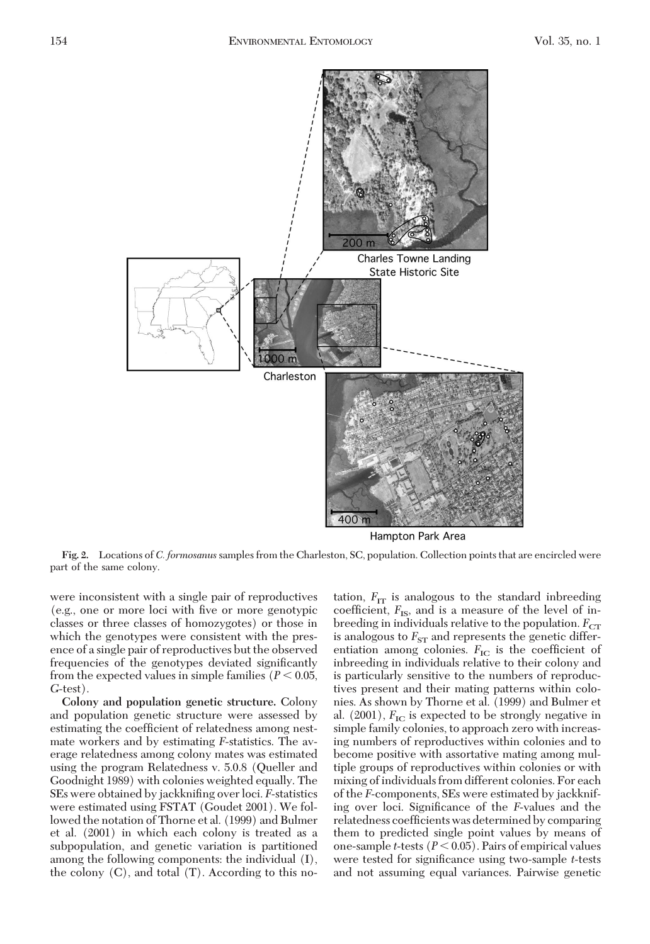

Hampton Park Area

**Fig. 2.** Locations of *C. formosanus*samples from the Charleston, SC, population. Collection points that are encircled were part of the same colony.

were inconsistent with a single pair of reproductives (e.g., one or more loci with five or more genotypic classes or three classes of homozygotes) or those in which the genotypes were consistent with the presence of a single pair of reproductives but the observed frequencies of the genotypes deviated significantly from the expected values in simple families  $(P < 0.05$ , *G*-test).

**Colony and population genetic structure.** Colony and population genetic structure were assessed by estimating the coefficient of relatedness among nestmate workers and by estimating *F*-statistics. The average relatedness among colony mates was estimated using the program Relatedness v. 5.0.8 (Queller and Goodnight 1989) with colonies weighted equally. The SEs were obtained by jackknifing over loci. *F*-statistics were estimated using FSTAT (Goudet 2001). We followed the notation of Thorne et al. (1999) and Bulmer et al. (2001) in which each colony is treated as a subpopulation, and genetic variation is partitioned among the following components: the individual (I), the colony  $(C)$ , and total  $(T)$ . According to this notation,  $F_{IT}$  is analogous to the standard inbreeding coefficient,  $F_{\text{IS}}$ , and is a measure of the level of inbreeding in individuals relative to the population.  $F_{CT}$ is analogous to  $F_{ST}$  and represents the genetic differentiation among colonies.  $F_{\text{IC}}$  is the coefficient of inbreeding in individuals relative to their colony and is particularly sensitive to the numbers of reproductives present and their mating patterns within colonies. As shown by Thorne et al. (1999) and Bulmer et al.  $(2001)$ ,  $F_{\text{IC}}$  is expected to be strongly negative in simple family colonies, to approach zero with increasing numbers of reproductives within colonies and to become positive with assortative mating among multiple groups of reproductives within colonies or with mixing of individuals from different colonies. For each of the *F*-components, SEs were estimated by jackknifing over loci. Significance of the *F*-values and the relatedness coefficients was determined by comparing them to predicted single point values by means of one-sample *t*-tests  $(P < 0.05)$ . Pairs of empirical values were tested for significance using two-sample *t*-tests and not assuming equal variances. Pairwise genetic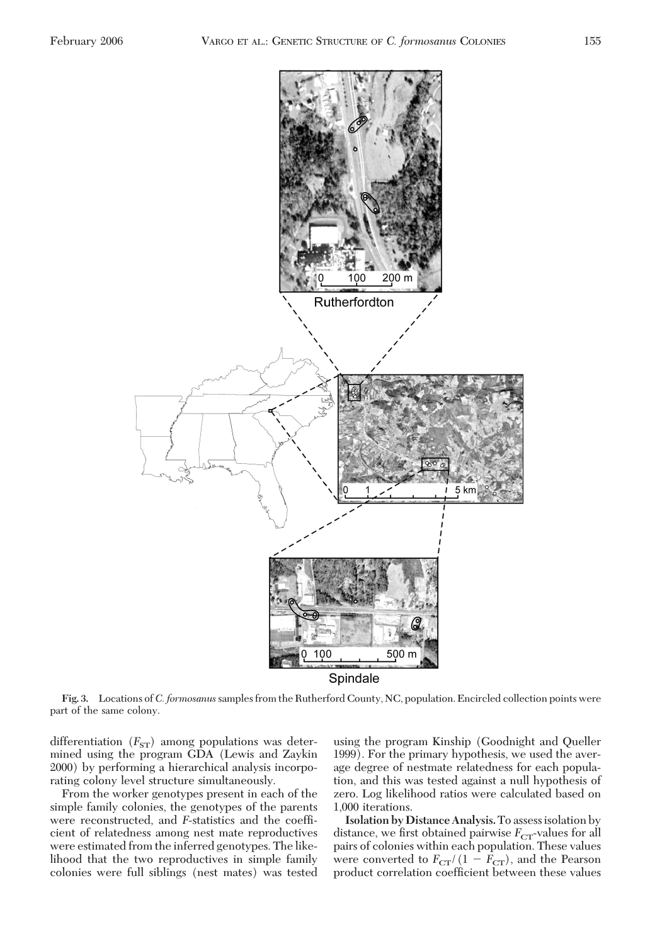

**Fig. 3.** Locations of *C. formosanus*samples from the Rutherford County, NC, population. Encircled collection points were part of the same colony.

differentiation  $(F_{ST})$  among populations was determined using the program GDA (Lewis and Zaykin 2000) by performing a hierarchical analysis incorporating colony level structure simultaneously.

From the worker genotypes present in each of the simple family colonies, the genotypes of the parents were reconstructed, and *F*-statistics and the coefficient of relatedness among nest mate reproductives were estimated from the inferred genotypes. The likelihood that the two reproductives in simple family colonies were full siblings (nest mates) was tested using the program Kinship (Goodnight and Queller 1999). For the primary hypothesis, we used the average degree of nestmate relatedness for each population, and this was tested against a null hypothesis of zero. Log likelihood ratios were calculated based on 1,000 iterations.

**Isolation by Distance Analysis.**To assessisolation by distance, we first obtained pairwise  $F_{CT}$ -values for all pairs of colonies within each population. These values were converted to  $F_{CT}/(1 - F_{CT})$ , and the Pearson product correlation coefficient between these values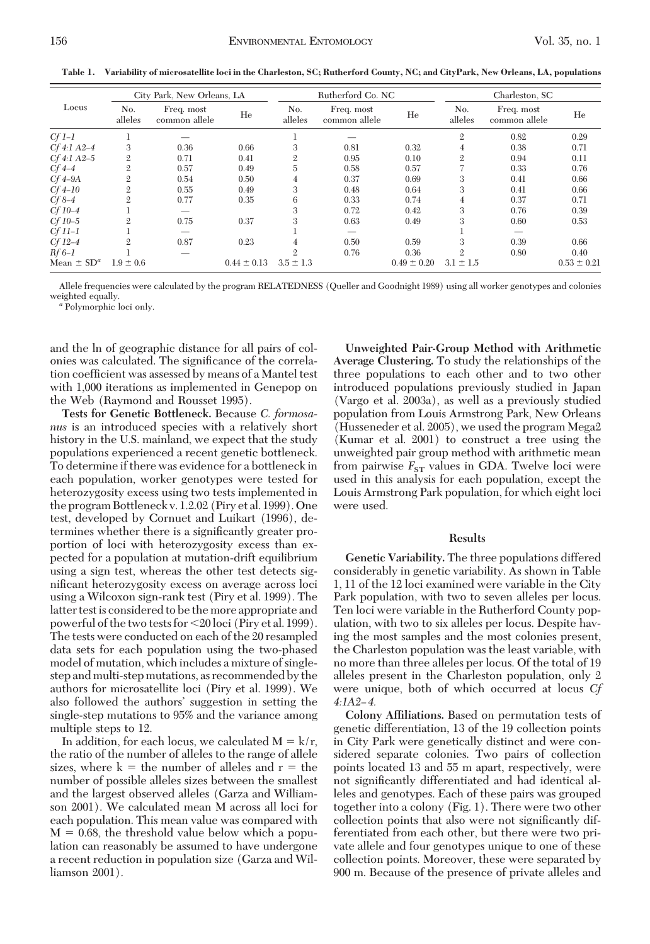**Table 1. Variability of microsatellite loci in the Charleston, SC; Rutherford County, NC; and CityPark, New Orleans, LA, populations**

| Locus                      | City Park, New Orleans, LA |                             |                 | Rutherford Co. NC      |                             |                 | Charleston, SC |                             |                 |
|----------------------------|----------------------------|-----------------------------|-----------------|------------------------|-----------------------------|-----------------|----------------|-----------------------------|-----------------|
|                            | No.<br>alleles             | Freq. most<br>common allele | He              | No.<br>alleles         | Freq. most<br>common allele | He              | No.<br>alleles | Freq. most<br>common allele | He              |
| $Cf1-1$                    |                            |                             |                 |                        |                             |                 | $\mathbf{2}$   | 0.82                        | 0.29            |
| Cf 4:1 A2-4                | 3                          | 0.36                        | 0.66            | 3                      | 0.81                        | 0.32            | 4              | 0.38                        | 0.71            |
| $Cf4:1 A2-5$               | $\mathbf{2}$               | 0.71                        | 0.41            | $\mathfrak{2}$         | 0.95                        | 0.10            | $\mathfrak{2}$ | 0.94                        | 0.11            |
| $Cf4-4$                    | $\overline{2}$             | 0.57                        | 0.49            | 5                      | 0.58                        | 0.57            |                | 0.33                        | 0.76            |
| $Cf$ 4-9A                  | $\mathfrak{2}$             | 0.54                        | 0.50            | 4                      | 0.37                        | 0.69            | 3              | 0.41                        | 0.66            |
| $Cf4-10$                   | $\mathfrak{2}$             | 0.55                        | 0.49            | 3                      | 0.48                        | 0.64            | 3              | 0.41                        | 0.66            |
| $Cf8-4$                    | $\mathfrak{2}$             | 0.77                        | 0.35            | 6                      | 0.33                        | 0.74            | 4              | 0.37                        | 0.71            |
| $Cf10-4$                   |                            |                             |                 | 3                      | 0.72                        | 0.42            | 3              | 0.76                        | 0.39            |
| $Cf10-5$                   | $\mathfrak{2}$             | 0.75                        | 0.37            | 3                      | 0.63                        | 0.49            | 3              | 0.60                        | 0.53            |
| $Cf11-1$                   |                            | -                           |                 |                        |                             |                 |                |                             |                 |
| $Cf12-4$                   | $\mathfrak{2}$             | 0.87                        | 0.23            |                        | 0.50                        | 0.59            | 3              | 0.39                        | 0.66            |
| $Rf6-1$                    |                            |                             |                 | $\mathcal{D}_{\alpha}$ | 0.76                        | 0.36            | 9.             | 0.80                        | 0.40            |
| Mean $\pm$ SD <sup>a</sup> | $1.9 \pm 0.6$              |                             | $0.44 \pm 0.13$ | $3.5 \pm 1.3$          |                             | $0.49 \pm 0.20$ | $3.1 \pm 1.5$  |                             | $0.53 \pm 0.21$ |

Allele frequencies were calculated by the program RELATEDNESS (Queller and Goodnight 1989) using all worker genotypes and colonies weighted equally. *<sup>a</sup>* Polymorphic loci only.

and the ln of geographic distance for all pairs of colonies was calculated. The significance of the correlation coefficient was assessed by means of a Mantel test with 1,000 iterations as implemented in Genepop on the Web (Raymond and Rousset 1995).

**Tests for Genetic Bottleneck.** Because *C. formosanus* is an introduced species with a relatively short history in the U.S. mainland, we expect that the study populations experienced a recent genetic bottleneck. To determine if there was evidence for a bottleneck in each population, worker genotypes were tested for heterozygosity excess using two tests implemented in the program Bottleneck v. 1.2.02 (Piry et al. 1999). One test, developed by Cornuet and Luikart (1996), determines whether there is a significantly greater proportion of loci with heterozygosity excess than expected for a population at mutation-drift equilibrium using a sign test, whereas the other test detects significant heterozygosity excess on average across loci using a Wilcoxon sign-rank test (Piry et al. 1999). The latter testis considered to be the more appropriate and powerful of the two tests for 20 loci (Piry et al. 1999). The tests were conducted on each of the 20 resampled data sets for each population using the two-phased model of mutation, which includes a mixture of singlestep and multi-step mutations, as recommended by the authors for microsatellite loci (Piry et al. 1999). We also followed the authors' suggestion in setting the single-step mutations to 95% and the variance among multiple steps to 12.

In addition, for each locus, we calculated  $M = k/r$ , the ratio of the number of alleles to the range of allele sizes, where  $k =$  the number of alleles and  $r =$  the number of possible alleles sizes between the smallest and the largest observed alleles (Garza and Williamson 2001). We calculated mean M across all loci for each population. This mean value was compared with  $M = 0.68$ , the threshold value below which a population can reasonably be assumed to have undergone a recent reduction in population size (Garza and Williamson 2001).

**Unweighted Pair-Group Method with Arithmetic Average Clustering.** To study the relationships of the three populations to each other and to two other introduced populations previously studied in Japan (Vargo et al. 2003a), as well as a previously studied population from Louis Armstrong Park, New Orleans (Husseneder et al. 2005), we used the program Mega2 (Kumar et al. 2001) to construct a tree using the unweighted pair group method with arithmetic mean from pairwise  $F_{ST}$  values in GDA. Twelve loci were used in this analysis for each population, except the Louis Armstrong Park population, for which eight loci were used.

#### **Results**

**Genetic Variability.** The three populations differed considerably in genetic variability. As shown in Table 1, 11 of the 12 loci examined were variable in the City Park population, with two to seven alleles per locus. Ten loci were variable in the Rutherford County population, with two to six alleles per locus. Despite having the most samples and the most colonies present, the Charleston population was the least variable, with no more than three alleles per locus. Of the total of 19 alleles present in the Charleston population, only 2 were unique, both of which occurred at locus *Cf 4:1A2– 4.*

**Colony Affiliations.** Based on permutation tests of genetic differentiation, 13 of the 19 collection points in City Park were genetically distinct and were considered separate colonies. Two pairs of collection points located 13 and 55 m apart, respectively, were not significantly differentiated and had identical alleles and genotypes. Each of these pairs was grouped together into a colony (Fig. 1). There were two other collection points that also were not significantly differentiated from each other, but there were two private allele and four genotypes unique to one of these collection points. Moreover, these were separated by 900 m. Because of the presence of private alleles and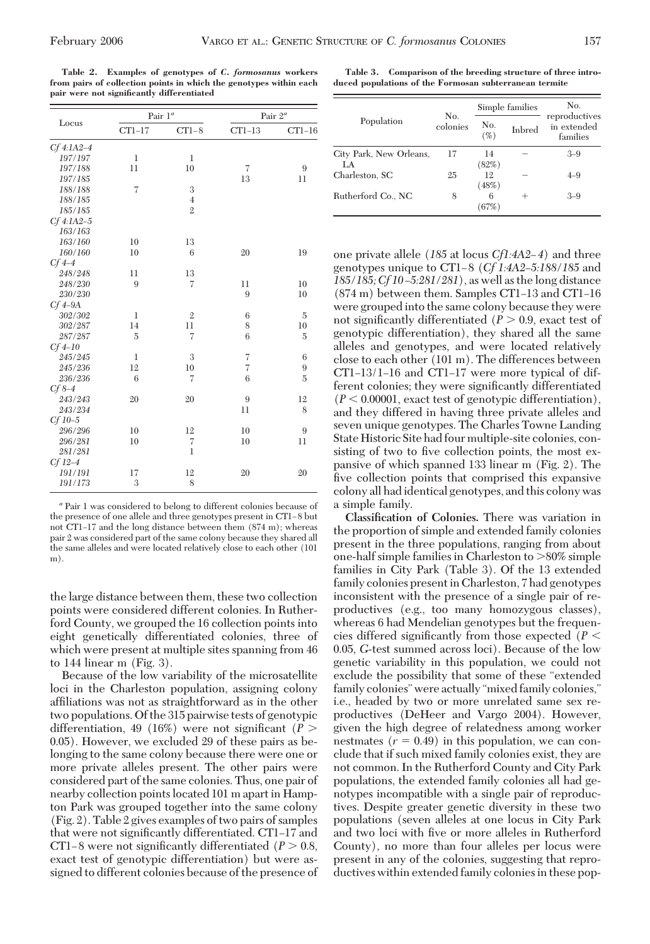**Table 2. Examples of genotypes of** *C. formosanus* **workers from pairs of collection points in which the genotypes within each pair were not significantly differentiated**

**Table 3. Comparison of the breeding structure of three introduced populations of the Formosan subterranean termite**

|              | Pair 1 <sup>a</sup> |                | Pair 2 <sup>a</sup> |          |  |
|--------------|---------------------|----------------|---------------------|----------|--|
| Locus        | $CT1-17$            | $CT1-8$        | $CT1-13$            | $CT1-16$ |  |
| $Cf4:1A2-4$  |                     |                |                     |          |  |
| 197/197      | 1                   | 1              |                     |          |  |
| 197/188      | 11                  | 10             | 7                   | 9        |  |
| 197/185      |                     |                | 13                  | 11       |  |
| 188/188      | 7                   | 3              |                     |          |  |
| 188/185      |                     | $\overline{4}$ |                     |          |  |
| 185/185      |                     | $\overline{2}$ |                     |          |  |
| $Cf$ 4:1A2-5 |                     |                |                     |          |  |
| 163/163      |                     |                |                     |          |  |
| 163/160      | 10                  | 13             |                     |          |  |
| 160/160      | 10                  | 6              | 20                  | 19       |  |
| $Cf$ 4-4     |                     |                |                     |          |  |
| 248/248      | 11                  | 13             |                     |          |  |
| 248/230      | 9                   | 7              | 11                  | 10       |  |
| 230/230      |                     |                | 9                   | 10       |  |
| $Cf$ 4-9A    |                     |                |                     |          |  |
| 302/302      | 1                   | $\overline{2}$ | 6                   | 5        |  |
| 302/287      | 14                  | 11             | 8                   | 10       |  |
| 287/287      | 5                   | 7              | 6                   | 5        |  |
| $Cf4-10$     |                     |                |                     |          |  |
| 245/245      | 1                   | 3              | 7                   | 6        |  |
| 245/236      | 12                  | 10             | 7                   | 9        |  |
| 236/236      | 6                   | 7              | 6                   | 5        |  |
| $Cf8-4$      |                     |                |                     |          |  |
| 243/243      | 20                  | 20             | 9                   | 12       |  |
| 243/234      |                     |                | 11                  | 8        |  |
| $Cf10-5$     |                     |                |                     |          |  |
| 296/296      | 10                  | 12             | 10                  | 9        |  |
| 296/281      | 10                  | 7              | 10                  | 11       |  |
| 281/281      |                     | $\mathbf{1}$   |                     |          |  |
| $Cf12-4$     |                     |                |                     |          |  |
| 191/191      | 17                  | 12             | 20                  | 20       |  |
| 191/173      | 3                   | 8              |                     |          |  |

*<sup>a</sup>* Pair 1 was considered to belong to different colonies because of the presence of one allele and three genotypes present in CT1-8 but not CT1–17 and the long distance between them  $(874 \text{ m})$ ; whereas pair 2 was considered part of the same colony because they shared all the same alleles and were located relatively close to each other (101 m)

the large distance between them, these two collection points were considered different colonies. In Rutherford County, we grouped the 16 collection points into eight genetically differentiated colonies, three of which were present at multiple sites spanning from 46 to 144 linear m (Fig. 3).

Because of the low variability of the microsatellite loci in the Charleston population, assigning colony affiliations was not as straightforward as in the other two populations. Of the 315 pairwise tests of genotypic differentiation, 49 (16%) were not significant  $(P >$ 0.05). However, we excluded 29 of these pairs as belonging to the same colony because there were one or more private alleles present. The other pairs were considered part of the same colonies. Thus, one pair of nearby collection points located 101 m apart in Hampton Park was grouped together into the same colony (Fig. 2). Table 2 gives examples of two pairs of samples that were not significantly differentiated. CT1–17 and CT1–8 were not significantly differentiated  $(P > 0.8$ , exact test of genotypic differentiation) but were assigned to different colonies because of the presence of

|                                |                 | Simple families |               | No.                                      |  |
|--------------------------------|-----------------|-----------------|---------------|------------------------------------------|--|
| Population                     | No.<br>colonies | No.<br>(%)      | <b>Inbred</b> | reproductives<br>in extended<br>families |  |
| City Park, New Orleans,<br>LA. | 17              | 14<br>(82%)     |               | $3 - 9$                                  |  |
| Charleston, SC                 | 25              | 12<br>(48%)     | -             | $4 - 9$                                  |  |
| Rutherford Co., NC             | 8               | 6<br>67%        |               | $3 - 9$                                  |  |

one private allele (*185* at locus *Cf1:4A2– 4*) and three genotypes unique to CT1–8 (*Cf 1:4A2–5:188/185* and *185/185; Cf 10 –5:281/281*), as well as the long distance  $(874 \text{ m})$  between them. Samples CT1–13 and CT1–16 were grouped into the same colony because they were not significantly differentiated  $(P > 0.9$ , exact test of genotypic differentiation), they shared all the same alleles and genotypes, and were located relatively close to each other (101 m). The differences between  $CT1-13/1-16$  and  $CT1-17$  were more typical of different colonies; they were significantly differentiated  $(P < 0.00001$ , exact test of genotypic differentiation), and they differed in having three private alleles and seven unique genotypes. The Charles Towne Landing State Historic Site had four multiple-site colonies, consisting of two to five collection points, the most expansive of which spanned 133 linear m (Fig. 2). The five collection points that comprised this expansive colony all had identical genotypes, and this colony was a simple family.

**Classification of Colonies.** There was variation in the proportion of simple and extended family colonies present in the three populations, ranging from about one-half simple families in Charleston to  $>80\%$  simple families in City Park (Table 3). Of the 13 extended family colonies present in Charleston, 7 had genotypes inconsistent with the presence of a single pair of reproductives (e.g., too many homozygous classes), whereas 6 had Mendelian genotypes but the frequencies differed significantly from those expected  $(P \leq$ 0.05, *G*-test summed across loci). Because of the low genetic variability in this population, we could not exclude the possibility that some of these "extended family colonies"were actually "mixed family colonies," i.e., headed by two or more unrelated same sex reproductives (DeHeer and Vargo 2004). However, given the high degree of relatedness among worker nestmates  $(r = 0.49)$  in this population, we can conclude that if such mixed family colonies exist, they are not common. In the Rutherford County and City Park populations, the extended family colonies all had genotypes incompatible with a single pair of reproductives. Despite greater genetic diversity in these two populations (seven alleles at one locus in City Park and two loci with five or more alleles in Rutherford County), no more than four alleles per locus were present in any of the colonies, suggesting that reproductives within extended family colonies in these pop-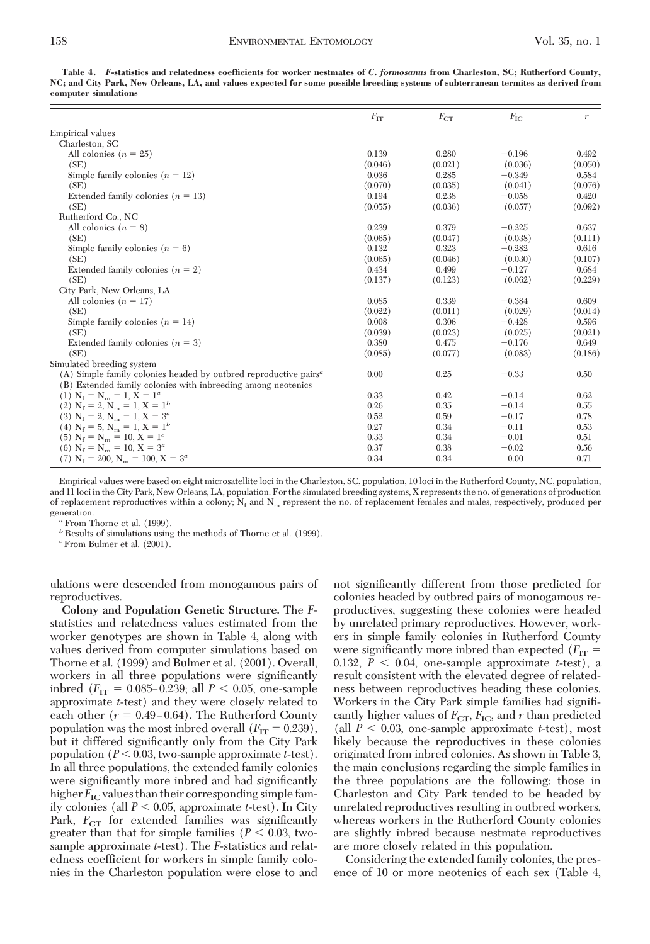**Table 4.** *F***-statistics and relatedness coefficients for worker nestmates of** *C. formosanus* **from Charleston, SC; Rutherford County, NC; and City Park, New Orleans, LA, and values expected for some possible breeding systems of subterranean termites as derived from computer simulations**

|                                                                                             | $F_{IT}$ | $F_{CT}$ | $F_{\rm IC}$ | $\boldsymbol{r}$ |
|---------------------------------------------------------------------------------------------|----------|----------|--------------|------------------|
| <b>Empirical</b> values                                                                     |          |          |              |                  |
| Charleston, SC                                                                              |          |          |              |                  |
| All colonies $(n = 25)$                                                                     | 0.139    | 0.280    | $-0.196$     | 0.492            |
| (SE)                                                                                        | (0.046)  | (0.021)  | (0.036)      | (0.050)          |
| Simple family colonies $(n = 12)$                                                           | 0.036    | 0.285    | $-0.349$     | 0.584            |
| (SE)                                                                                        | (0.070)  | (0.035)  | (0.041)      | (0.076)          |
| Extended family colonies $(n = 13)$                                                         | 0.194    | 0.238    | $-0.058$     | 0.420            |
| (SE)                                                                                        | (0.055)  | (0.036)  | (0.057)      | (0.092)          |
| Rutherford Co., NC                                                                          |          |          |              |                  |
| All colonies $(n = 8)$                                                                      | 0.239    | 0.379    | $-0.225$     | 0.637            |
| (SE)                                                                                        | (0.065)  | (0.047)  | (0.038)      | (0.111)          |
| Simple family colonies $(n = 6)$                                                            | 0.132    | 0.323    | $-0.282$     | 0.616            |
| (SE)                                                                                        | (0.065)  | (0.046)  | (0.030)      | (0.107)          |
| Extended family colonies $(n = 2)$                                                          | 0.434    | 0.499    | $-0.127$     | 0.684            |
| (SE)                                                                                        | (0.137)  | (0.123)  | (0.062)      | (0.229)          |
| City Park, New Orleans, LA                                                                  |          |          |              |                  |
| All colonies $(n = 17)$                                                                     | 0.085    | 0.339    | $-0.384$     | 0.609            |
| (SE)                                                                                        | (0.022)  | (0.011)  | (0.029)      | (0.014)          |
| Simple family colonies $(n = 14)$                                                           | 0.008    | 0.306    | $-0.428$     | 0.596            |
| (SE)                                                                                        | (0.039)  | (0.023)  | (0.025)      | (0.021)          |
| Extended family colonies $(n = 3)$                                                          | 0.380    | 0.475    | $-0.176$     | 0.649            |
| (SE)                                                                                        | (0.085)  | (0.077)  | (0.083)      | (0.186)          |
| Simulated breeding system                                                                   |          |          |              |                  |
| $(A)$ Simple family colonies headed by outbred reproductive pairs <sup><math>a</math></sup> | 0.00     | 0.25     | $-0.33$      | 0.50             |
| (B) Extended family colonies with inbreeding among neotenics                                |          |          |              |                  |
| (1) $N_f = N_m = 1, X = 1^a$                                                                | 0.33     | 0.42     | $-0.14$      | 0.62             |
| (2) $N_f = 2$ , $N_m = 1$ , $X = 1^b$                                                       | 0.26     | 0.35     | $-0.14$      | 0.55             |
| (3) $N_f = 2, N_m = 1, X = 3^a$                                                             | 0.52     | 0.59     | $-0.17$      | 0.78             |
| (4) $N_f = 5, N_m = 1, X = 1^b$                                                             | 0.27     | 0.34     | $-0.11$      | 0.53             |
| (5) $N_f = N_m = 10, X = 1^c$                                                               | 0.33     | 0.34     | $-0.01$      | 0.51             |
| (6) $N_f = N_m = 10, X = 3^a$                                                               | 0.37     | 0.38     | $-0.02$      | 0.56             |
| (7) $N_f = 200$ , $N_m = 100$ , $X = 3^a$                                                   | 0.34     | 0.34     | 0.00         | 0.71             |

Empirical values were based on eight microsatellite loci in the Charleston, SC, population, 10 loci in the Rutherford County, NC, population, and 11 loci in the City Park, New Orleans, LA, population. For the simulated breeding systems, X represents the no. of generations of production of replacement reproductives within a colony;  $N_f$  and  $N_m$  represent the no. of replacement females and males, respectively, produced per generation.

<sup>*a*</sup> From Thorne et al. (1999).

 $^b$  Results of simulations using the methods of Thorne et al. (1999).

*<sup>c</sup>* From Bulmer et al. (2001).

ulations were descended from monogamous pairs of reproductives.

**Colony and Population Genetic Structure.** The *F*statistics and relatedness values estimated from the worker genotypes are shown in Table 4, along with values derived from computer simulations based on Thorne et al. (1999) and Bulmer et al. (2001). Overall, workers in all three populations were significantly inbred ( $F_{IT}$  = 0.085–0.239; all *P* < 0.05, one-sample approximate *t*-test) and they were closely related to each other  $(r = 0.49 - 0.64)$ . The Rutherford County population was the most inbred overall  $(F_{IT} = 0.239)$ , but it differed significantly only from the City Park population  $(P < 0.03$ , two-sample approximate *t*-test). In all three populations, the extended family colonies were significantly more inbred and had significantly higher  $F_{\text{IC}}$  values than their corresponding simple family colonies (all  $P < 0.05$ , approximate *t*-test). In City Park,  $F_{CT}$  for extended families was significantly greater than that for simple families  $(P < 0.03$ , twosample approximate *t*-test). The *F*-statistics and relatedness coefficient for workers in simple family colonies in the Charleston population were close to and not significantly different from those predicted for colonies headed by outbred pairs of monogamous reproductives, suggesting these colonies were headed by unrelated primary reproductives. However, workers in simple family colonies in Rutherford County were significantly more inbred than expected  $(F_{IT} =$ 0.132,  $P \leq 0.04$ , one-sample approximate *t*-test), a result consistent with the elevated degree of relatedness between reproductives heading these colonies. Workers in the City Park simple families had signiÞcantly higher values of  $F_{\text{CT}}$ ,  $F_{\text{IC}}$ , and  $r$  than predicted (all  $P < 0.03$ , one-sample approximate *t*-test), most likely because the reproductives in these colonies originated from inbred colonies. As shown in Table 3, the main conclusions regarding the simple families in the three populations are the following: those in Charleston and City Park tended to be headed by unrelated reproductives resulting in outbred workers, whereas workers in the Rutherford County colonies are slightly inbred because nestmate reproductives are more closely related in this population.

Considering the extended family colonies, the presence of 10 or more neotenics of each sex (Table 4,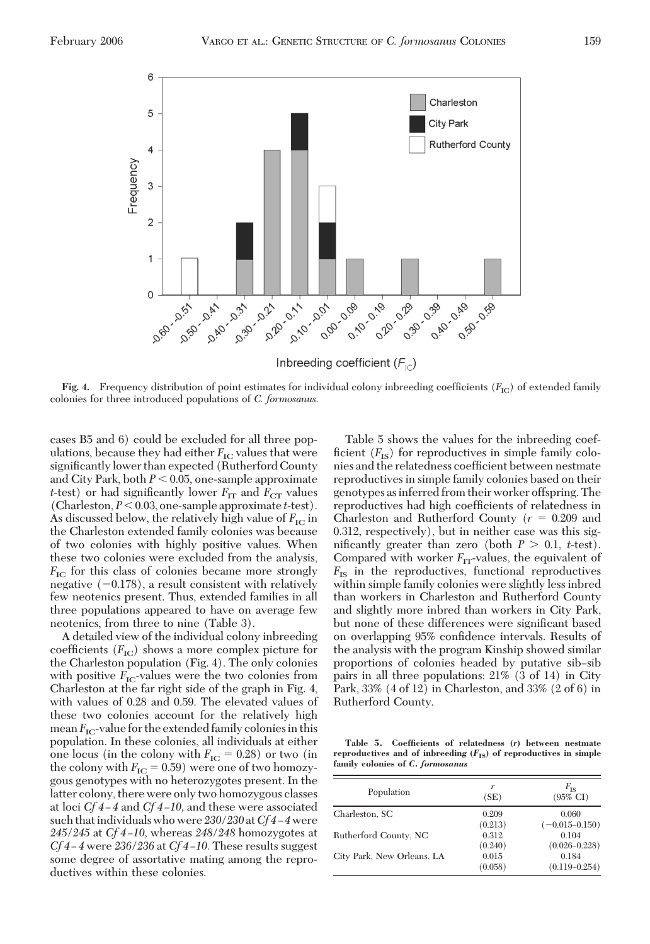

**Fig. 4.** Frequency distribution of point estimates for individual colony inbreeding coefficients  $(F_{\text{IC}})$  of extended family colonies for three introduced populations of *C. formosanus*.

cases B5 and 6) could be excluded for all three populations, because they had either  $F_{\text{IC}}$  values that were significantly lower than expected (Rutherford County and City Park, both  $P < 0.05$ , one-sample approximate *t*-test) or had significantly lower  $F_{IT}$  and  $F_{CT}$  values (Charleston,  $P \le 0.03$ , one-sample approximate *t*-test). As discussed below, the relatively high value of  $F_{\text{IC}}$  in the Charleston extended family colonies was because of two colonies with highly positive values. When these two colonies were excluded from the analysis, *F*<sub>IC</sub> for this class of colonies became more strongly negative  $(-0.178)$ , a result consistent with relatively few neotenics present. Thus, extended families in all three populations appeared to have on average few neotenics, from three to nine (Table 3).

A detailed view of the individual colony inbreeding coefficients  $(F_{\text{IC}})$  shows a more complex picture for the Charleston population (Fig. 4). The only colonies with positive  $F_{\text{IC}}$ -values were the two colonies from Charleston at the far right side of the graph in Fig. 4, with values of 0.28 and 0.59. The elevated values of these two colonies account for the relatively high mean  $F_{\text{IC}}$ -value for the extended family colonies in this population. In these colonies, all individuals at either one locus (in the colony with  $F_{\text{IC}} = 0.28$ ) or two (in the colony with  $F_{\text{IC}} = 0.59$ ) were one of two homozygous genotypes with no heterozygotes present. In the latter colony, there were only two homozygous classes at loci *Cf 4 – 4* and *Cf 4 –10,* and these were associated such that individuals who were *230/230* at*Cf 4 – 4*were *245/245* at *Cf 4 –10,* whereas *248/248* homozygotes at *Cf 4 – 4* were *236/236* at *Cf 4 –10.* These results suggest some degree of assortative mating among the reproductives within these colonies.

Table 5 shows the values for the inbreeding coefficient  $(F_{IS})$  for reproductives in simple family colonies and the relatedness coefficient between nestmate reproductives in simple family colonies based on their genotypes as inferred from their worker offspring. The reproductives had high coefficients of relatedness in Charleston and Rutherford County  $(r = 0.209$  and 0.312, respectively), but in neither case was this significantly greater than zero (both  $P > 0.1$ , *t*-test). Compared with worker  $F_{IT}$ -values, the equivalent of  $F_{\text{IS}}$  in the reproductives, functional reproductives within simple family colonies were slightly less inbred than workers in Charleston and Rutherford County and slightly more inbred than workers in City Park, but none of these differences were significant based on overlapping 95% confidence intervals. Results of the analysis with the program Kinship showed similar proportions of colonies headed by putative sib-sib pairs in all three populations: 21% (3 of 14) in City Park, 33% (4 of 12) in Charleston, and 33% (2 of 6) in Rutherford County.

**Table 5. Coefficients of relatedness (***r***) between nestmate** reproductives and of inbreeding ( $F$ <sub>IS</sub>) of reproductives in simple **family colonies of** *C. formosanus*

| Population                 | r<br>(SE)                   | $F_{\rm IS}$<br>$(95\% \text{ CI})$             |
|----------------------------|-----------------------------|-------------------------------------------------|
| Charleston, SC             | 0.209                       | 0.060                                           |
| Rutherford County, NC      | (0.213)<br>0.312            | $(-0.015 - 0.150)$<br>0.104                     |
| City Park, New Orleans, LA | (0.240)<br>0.015<br>(0.058) | $(0.026 - 0.228)$<br>0.184<br>$(0.119 - 0.254)$ |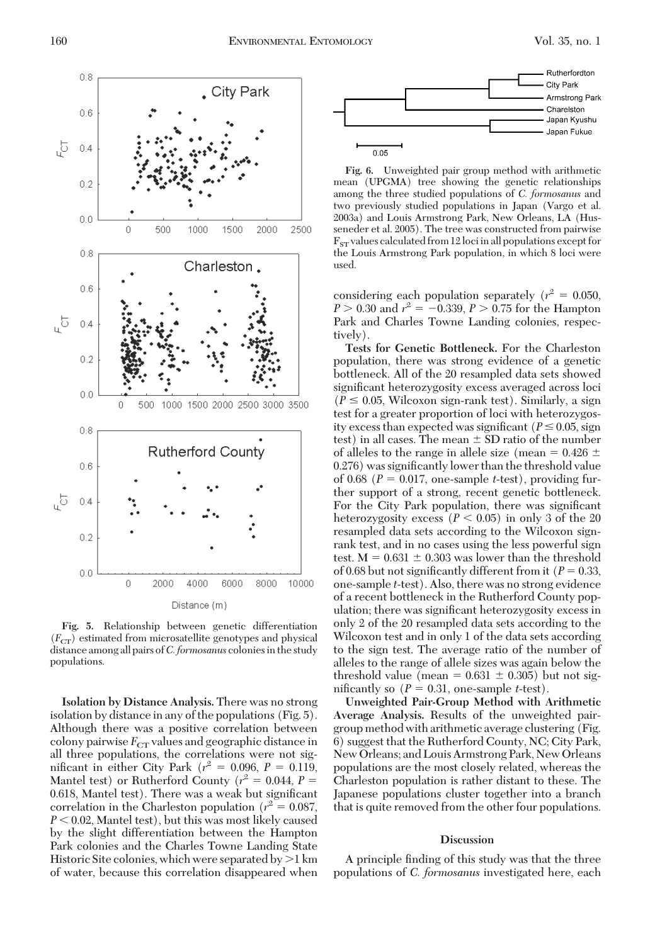

**Fig. 5.** Relationship between genetic differentiation  $(F_{CT})$  estimated from microsatellite genotypes and physical distance among all pairs of*C. formosanus* coloniesin the study populations.

**Isolation by Distance Analysis.** There was no strong isolation by distance in any of the populations (Fig. 5). Although there was a positive correlation between colony pairwise  $F_{CT}$  values and geographic distance in all three populations, the correlations were not significant in either City Park ( $r^2 = 0.096$ ,  $P = 0.119$ , Mantel test) or Rutherford County ( $r^2 = 0.044$ ,  $P =$ 0.618, Mantel test). There was a weak but significant correlation in the Charleston population ( $r^2 = 0.087$ ,  $P < 0.02$ , Mantel test), but this was most likely caused by the slight differentiation between the Hampton Park colonies and the Charles Towne Landing State Historic Site colonies, which were separated by  $>1$  km of water, because this correlation disappeared when



**Fig. 6.** Unweighted pair group method with arithmetic mean (UPGMA) tree showing the genetic relationships among the three studied populations of *C. formosanus* and two previously studied populations in Japan (Vargo et al. 2003a) and Louis Armstrong Park, New Orleans, LA (Husseneder et al. 2005). The tree was constructed from pairwise  $F_{ST}$  values calculated from 12 loci in all populations except for the Louis Armstrong Park population, in which 8 loci were used.

considering each population separately  $(r^2 = 0.050,$  $P > 0.30$  and  $r^2 = -0.339, P > 0.75$  for the Hampton Park and Charles Towne Landing colonies, respectively).

**Tests for Genetic Bottleneck.** For the Charleston population, there was strong evidence of a genetic bottleneck. All of the 20 resampled data sets showed significant heterozygosity excess averaged across loci  $(P \leq 0.05$ , Wilcoxon sign-rank test). Similarly, a sign test for a greater proportion of loci with heterozygosity excess than expected was significant ( $P \leq 0.05$ , sign test) in all cases. The mean  $\pm$  SD ratio of the number of alleles to the range in allele size (mean =  $0.426 \pm$  $0.276$ ) was significantly lower than the threshold value of 0.68 ( $P = 0.017$ , one-sample *t*-test), providing further support of a strong, recent genetic bottleneck. For the City Park population, there was significant heterozygosity excess  $(P < 0.05)$  in only 3 of the 20 resampled data sets according to the Wilcoxon signrank test, and in no cases using the less powerful sign test.  $M = 0.631 \pm 0.303$  was lower than the threshold of 0.68 but not significantly different from it ( $P = 0.33$ , one-sample *t*-test). Also, there was no strong evidence of a recent bottleneck in the Rutherford County population; there was significant heterozygosity excess in only 2 of the 20 resampled data sets according to the Wilcoxon test and in only 1 of the data sets according to the sign test. The average ratio of the number of alleles to the range of allele sizes was again below the threshold value (mean  $= 0.631 \pm 0.305$ ) but not significantly so  $(P = 0.31$ , one-sample *t*-test).

**Unweighted Pair-Group Method with Arithmetic Average Analysis.** Results of the unweighted pairgroup method with arithmetic average clustering (Fig. 6) suggest that the Rutherford County, NC; City Park, New Orleans; and Louis Armstrong Park, New Orleans populations are the most closely related, whereas the Charleston population is rather distant to these. The Japanese populations cluster together into a branch that is quite removed from the other four populations.

#### **Discussion**

A principle finding of this study was that the three populations of *C. formosanus* investigated here, each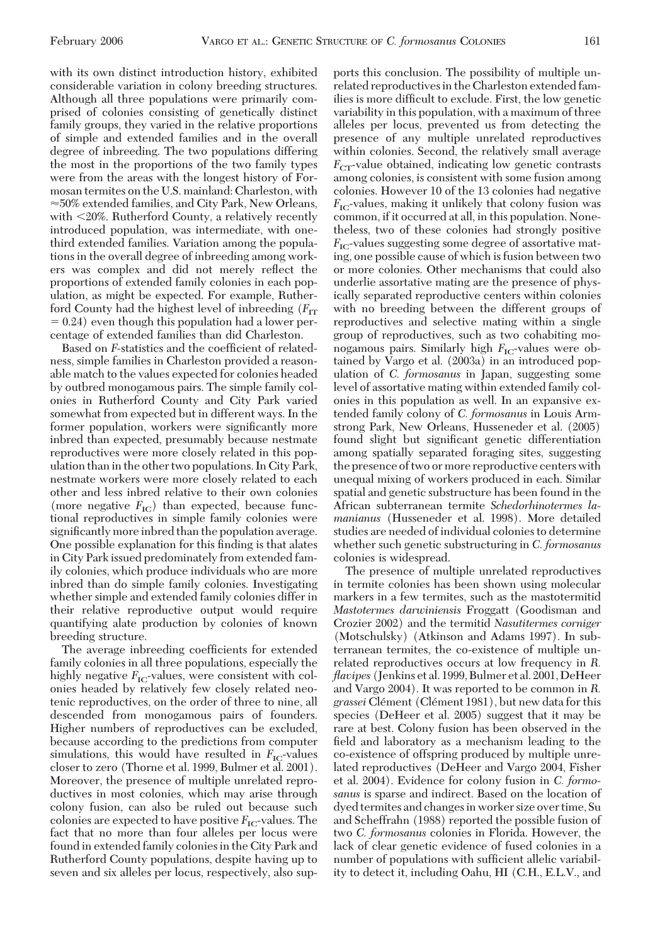with its own distinct introduction history, exhibited considerable variation in colony breeding structures. Although all three populations were primarily comprised of colonies consisting of genetically distinct family groups, they varied in the relative proportions of simple and extended families and in the overall degree of inbreeding. The two populations differing the most in the proportions of the two family types were from the areas with the longest history of Formosan termites on the U.S. mainland: Charleston, with  $\approx$  50% extended families, and City Park, New Orleans, with  $\leq 20\%$ . Rutherford County, a relatively recently introduced population, was intermediate, with onethird extended families. Variation among the populations in the overall degree of inbreeding among workers was complex and did not merely reßect the proportions of extended family colonies in each population, as might be expected. For example, Rutherford County had the highest level of inbreeding  $(F_{IT})$  $(0.24)$  even though this population had a lower percentage of extended families than did Charleston.

Based on *F*-statistics and the coefficient of relatedness, simple families in Charleston provided a reasonable match to the values expected for colonies headed by outbred monogamous pairs. The simple family colonies in Rutherford County and City Park varied somewhat from expected but in different ways. In the former population, workers were significantly more inbred than expected, presumably because nestmate reproductives were more closely related in this population than in the other two populations. In City Park, nestmate workers were more closely related to each other and less inbred relative to their own colonies (more negative  $F_{\text{IC}}$ ) than expected, because functional reproductives in simple family colonies were significantly more inbred than the population average. One possible explanation for this finding is that alates in City Park issued predominately from extended family colonies, which produce individuals who are more inbred than do simple family colonies. Investigating whether simple and extended family colonies differ in their relative reproductive output would require quantifying alate production by colonies of known breeding structure.

The average inbreeding coefficients for extended family colonies in all three populations, especially the highly negative  $F_{\text{IC}}$ -values, were consistent with colonies headed by relatively few closely related neotenic reproductives, on the order of three to nine, all descended from monogamous pairs of founders. Higher numbers of reproductives can be excluded, because according to the predictions from computer simulations, this would have resulted in  $F_{\text{IC}}$ -values closer to zero (Thorne et al. 1999, Bulmer et al. 2001). Moreover, the presence of multiple unrelated reproductives in most colonies, which may arise through colony fusion, can also be ruled out because such colonies are expected to have positive  $F_{\text{IC}}$ -values. The fact that no more than four alleles per locus were found in extended family colonies in the City Park and Rutherford County populations, despite having up to seven and six alleles per locus, respectively, also supports this conclusion. The possibility of multiple unrelated reproductives in the Charleston extended families is more difficult to exclude. First, the low genetic variability in this population, with a maximum of three alleles per locus, prevented us from detecting the presence of any multiple unrelated reproductives within colonies. Second, the relatively small average  $F_{CT}$ -value obtained, indicating low genetic contrasts among colonies, is consistent with some fusion among colonies. However 10 of the 13 colonies had negative *F*<sub>IC</sub>-values, making it unlikely that colony fusion was common, if it occurred at all, in this population. Nonetheless, two of these colonies had strongly positive  $F_{\text{IC}}$ -values suggesting some degree of assortative mating, one possible cause of which is fusion between two or more colonies. Other mechanisms that could also underlie assortative mating are the presence of physically separated reproductive centers within colonies with no breeding between the different groups of reproductives and selective mating within a single group of reproductives, such as two cohabiting monogamous pairs. Similarly high  $F_{\text{IC}}$ -values were obtained by Vargo et al. (2003a) in an introduced population of *C. formosanus* in Japan, suggesting some level of assortative mating within extended family colonies in this population as well. In an expansive extended family colony of *C. formosanus* in Louis Armstrong Park, New Orleans, Husseneder et al. (2005) found slight but significant genetic differentiation among spatially separated foraging sites, suggesting the presence of two or more reproductive centers with unequal mixing of workers produced in each. Similar spatial and genetic substructure has been found in the African subterranean termite *Schedorhinotermes lamanianus* (Husseneder et al. 1998). More detailed studies are needed of individual colonies to determine whether such genetic substructuring in *C. formosanus* colonies is widespread.

The presence of multiple unrelated reproductives in termite colonies has been shown using molecular markers in a few termites, such as the mastotermitid *Mastotermes darwiniensis* Froggatt (Goodisman and Crozier 2002) and the termitid *Nasutitermes corniger* (Motschulsky) (Atkinson and Adams 1997). In subterranean termites, the co-existence of multiple unrelated reproductives occurs at low frequency in *R. flavipes* (Jenkins et al. 1999, Bulmer et al. 2001, DeHeer and Vargo 2004). It was reported to be common in *R.* grassei Clément (Clément 1981), but new data for this species (DeHeer et al. 2005) suggest that it may be rare at best. Colony fusion has been observed in the field and laboratory as a mechanism leading to the co-existence of offspring produced by multiple unrelated reproductives (DeHeer and Vargo 2004, Fisher et al. 2004). Evidence for colony fusion in *C. formosanus* is sparse and indirect. Based on the location of dyed termites and changes in worker size over time, Su and Scheffrahn (1988) reported the possible fusion of two *C. formosanus* colonies in Florida. However, the lack of clear genetic evidence of fused colonies in a number of populations with sufficient allelic variability to detect it, including Oahu, HI (C.H., E.L.V., and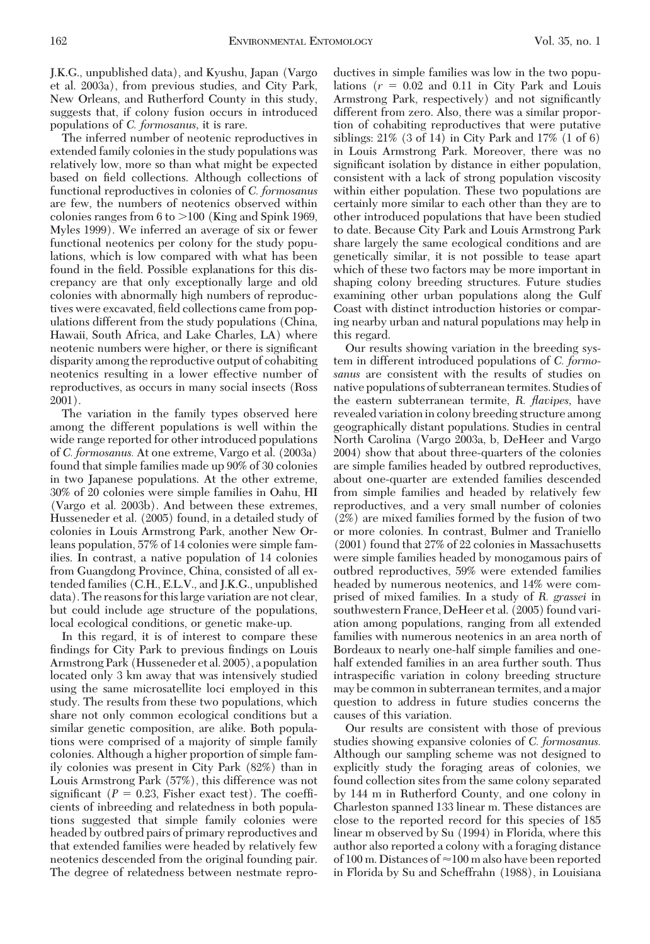J.K.G., unpublished data), and Kyushu, Japan (Vargo et al. 2003a), from previous studies, and City Park, New Orleans, and Rutherford County in this study, suggests that, if colony fusion occurs in introduced populations of *C. formosanus,* it is rare.

The inferred number of neotenic reproductives in extended family colonies in the study populations was relatively low, more so than what might be expected based on field collections. Although collections of functional reproductives in colonies of *C. formosanus* are few, the numbers of neotenics observed within colonies ranges from  $6$  to  $>100$  (King and Spink 1969, Myles 1999). We inferred an average of six or fewer functional neotenics per colony for the study populations, which is low compared with what has been found in the field. Possible explanations for this discrepancy are that only exceptionally large and old colonies with abnormally high numbers of reproductives were excavated, field collections came from populations different from the study populations (China, Hawaii, South Africa, and Lake Charles, LA) where neotenic numbers were higher, or there is significant disparity among the reproductive output of cohabiting neotenics resulting in a lower effective number of reproductives, as occurs in many social insects (Ross 2001).

The variation in the family types observed here among the different populations is well within the wide range reported for other introduced populations of *C. formosanus.* At one extreme, Vargo et al. (2003a) found that simple families made up 90% of 30 colonies in two Japanese populations. At the other extreme, 30% of 20 colonies were simple families in Oahu, HI (Vargo et al. 2003b). And between these extremes, Husseneder et al. (2005) found, in a detailed study of colonies in Louis Armstrong Park, another New Orleans population, 57% of 14 colonies were simple families. In contrast, a native population of 14 colonies from Guangdong Province, China, consisted of all extended families (C.H., E.L.V., and J.K.G., unpublished data). The reasons for this large variation are not clear, but could include age structure of the populations, local ecological conditions, or genetic make-up.

In this regard, it is of interest to compare these findings for City Park to previous findings on Louis Armstrong Park (Husseneder et al. 2005), a population located only 3 km away that was intensively studied using the same microsatellite loci employed in this study. The results from these two populations, which share not only common ecological conditions but a similar genetic composition, are alike. Both populations were comprised of a majority of simple family colonies. Although a higher proportion of simple family colonies was present in City Park (82%) than in Louis Armstrong Park (57%), this difference was not significant ( $P = 0.23$ , Fisher exact test). The coefficients of inbreeding and relatedness in both populations suggested that simple family colonies were headed by outbred pairs of primary reproductives and that extended families were headed by relatively few neotenics descended from the original founding pair. The degree of relatedness between nestmate reproductives in simple families was low in the two populations  $(r = 0.02$  and 0.11 in City Park and Louis Armstrong Park, respectively) and not significantly different from zero. Also, there was a similar proportion of cohabiting reproductives that were putative siblings: 21% (3 of 14) in City Park and 17% (1 of 6) in Louis Armstrong Park. Moreover, there was no significant isolation by distance in either population, consistent with a lack of strong population viscosity within either population. These two populations are certainly more similar to each other than they are to other introduced populations that have been studied to date. Because City Park and Louis Armstrong Park share largely the same ecological conditions and are genetically similar, it is not possible to tease apart which of these two factors may be more important in shaping colony breeding structures. Future studies examining other urban populations along the Gulf Coast with distinct introduction histories or comparing nearby urban and natural populations may help in this regard.

Our results showing variation in the breeding system in different introduced populations of *C. formosanus* are consistent with the results of studies on native populations of subterranean termites. Studies of the eastern subterranean termite, *R. flavipes,* have revealed variation in colony breeding structure among geographically distant populations. Studies in central North Carolina (Vargo 2003a, b, DeHeer and Vargo 2004) show that about three-quarters of the colonies are simple families headed by outbred reproductives, about one-quarter are extended families descended from simple families and headed by relatively few reproductives, and a very small number of colonies (2%) are mixed families formed by the fusion of two or more colonies. In contrast, Bulmer and Traniello (2001) found that 27% of 22 colonies in Massachusetts were simple families headed by monogamous pairs of outbred reproductives, 59% were extended families headed by numerous neotenics, and 14% were comprised of mixed families. In a study of *R. grassei* in southwestern France, DeHeer et al. (2005) found variation among populations, ranging from all extended families with numerous neotenics in an area north of Bordeaux to nearly one-half simple families and onehalf extended families in an area further south. Thus intraspecific variation in colony breeding structure may be common in subterranean termites, and a major question to address in future studies concerns the causes of this variation.

Our results are consistent with those of previous studies showing expansive colonies of *C. formosanus.* Although our sampling scheme was not designed to explicitly study the foraging areas of colonies, we found collection sites from the same colony separated by 144 m in Rutherford County, and one colony in Charleston spanned 133 linear m. These distances are close to the reported record for this species of 185 linear m observed by Su (1994) in Florida, where this author also reported a colony with a foraging distance of 100 m. Distances of  $\approx$  100 m also have been reported in Florida by Su and Scheffrahn (1988), in Louisiana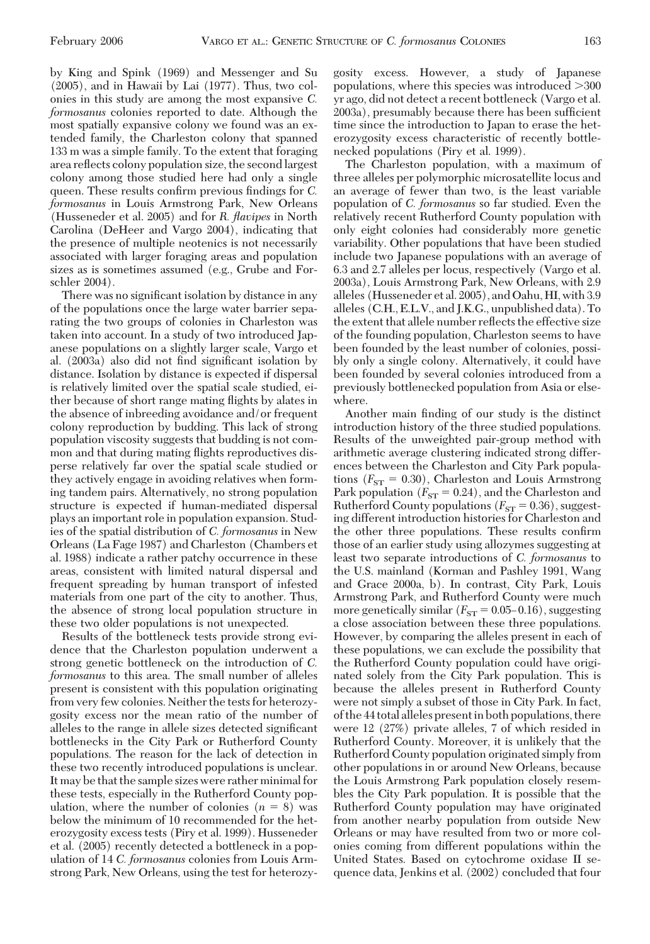by King and Spink (1969) and Messenger and Su (2005), and in Hawaii by Lai (1977). Thus, two colonies in this study are among the most expansive *C. formosanus* colonies reported to date. Although the most spatially expansive colony we found was an extended family, the Charleston colony that spanned 133 m was a simple family. To the extent that foraging area reßects colony population size, the second largest colony among those studied here had only a single queen. These results confirm previous findings for *C*. *formosanus* in Louis Armstrong Park, New Orleans (Husseneder et al. 2005) and for *R. flavipes* in North Carolina (DeHeer and Vargo 2004), indicating that the presence of multiple neotenics is not necessarily associated with larger foraging areas and population sizes as is sometimes assumed (e.g., Grube and Forschler 2004).

There was no significant isolation by distance in any of the populations once the large water barrier separating the two groups of colonies in Charleston was taken into account. In a study of two introduced Japanese populations on a slightly larger scale, Vargo et al. (2003a) also did not find significant isolation by distance. Isolation by distance is expected if dispersal is relatively limited over the spatial scale studied, either because of short range mating ßights by alates in the absence of inbreeding avoidance and/or frequent colony reproduction by budding. This lack of strong population viscosity suggests that budding is not common and that during mating flights reproductives disperse relatively far over the spatial scale studied or they actively engage in avoiding relatives when forming tandem pairs. Alternatively, no strong population structure is expected if human-mediated dispersal plays an important role in population expansion. Studies of the spatial distribution of *C. formosanus* in New Orleans (La Fage 1987) and Charleston (Chambers et al. 1988) indicate a rather patchy occurrence in these areas, consistent with limited natural dispersal and frequent spreading by human transport of infested materials from one part of the city to another. Thus, the absence of strong local population structure in these two older populations is not unexpected.

Results of the bottleneck tests provide strong evidence that the Charleston population underwent a strong genetic bottleneck on the introduction of *C. formosanus* to this area. The small number of alleles present is consistent with this population originating from very few colonies. Neither the tests for heterozygosity excess nor the mean ratio of the number of alleles to the range in allele sizes detected significant bottlenecks in the City Park or Rutherford County populations. The reason for the lack of detection in these two recently introduced populations is unclear. It may be that the sample sizes were rather minimal for these tests, especially in the Rutherford County population, where the number of colonies  $(n = 8)$  was below the minimum of 10 recommended for the heterozygosity excess tests (Piry et al. 1999). Husseneder et al. (2005) recently detected a bottleneck in a population of 14 *C. formosanus* colonies from Louis Armstrong Park, New Orleans, using the test for heterozygosity excess. However, a study of Japanese populations, where this species was introduced 300 yr ago, did not detect a recent bottleneck (Vargo et al. 2003a), presumably because there has been sufficient time since the introduction to Japan to erase the heterozygosity excess characteristic of recently bottlenecked populations (Piry et al. 1999).

The Charleston population, with a maximum of three alleles per polymorphic microsatellite locus and an average of fewer than two, is the least variable population of *C. formosanus* so far studied. Even the relatively recent Rutherford County population with only eight colonies had considerably more genetic variability. Other populations that have been studied include two Japanese populations with an average of 6.3 and 2.7 alleles per locus, respectively (Vargo et al. 2003a), Louis Armstrong Park, New Orleans, with 2.9 alleles (Husseneder et al. 2005), and Oahu, HI, with 3.9 alleles (C.H., E.L.V., and J.K.G., unpublished data). To the extent that allele number reßects the effective size of the founding population, Charleston seems to have been founded by the least number of colonies, possibly only a single colony. Alternatively, it could have been founded by several colonies introduced from a previously bottlenecked population from Asia or elsewhere.

Another main finding of our study is the distinct introduction history of the three studied populations. Results of the unweighted pair-group method with arithmetic average clustering indicated strong differences between the Charleston and City Park populations ( $F_{ST}$  = 0.30), Charleston and Louis Armstrong Park population ( $F_{ST}$  = 0.24), and the Charleston and Rutherford County populations  $(F_{ST} = 0.36)$ , suggesting different introduction histories for Charleston and the other three populations. These results confirm those of an earlier study using allozymes suggesting at least two separate introductions of *C. formosanus* to the U.S. mainland (Korman and Pashley 1991, Wang and Grace 2000a, b). In contrast, City Park, Louis Armstrong Park, and Rutherford County were much more genetically similar  $(F_{ST} = 0.05-0.16)$ , suggesting a close association between these three populations. However, by comparing the alleles present in each of these populations, we can exclude the possibility that the Rutherford County population could have originated solely from the City Park population. This is because the alleles present in Rutherford County were not simply a subset of those in City Park. In fact, of the 44 total alleles presentin both populations, there were 12 (27%) private alleles, 7 of which resided in Rutherford County. Moreover, it is unlikely that the Rutherford County population originated simply from other populations in or around New Orleans, because the Louis Armstrong Park population closely resembles the City Park population. It is possible that the Rutherford County population may have originated from another nearby population from outside New Orleans or may have resulted from two or more colonies coming from different populations within the United States. Based on cytochrome oxidase II sequence data, Jenkins et al. (2002) concluded that four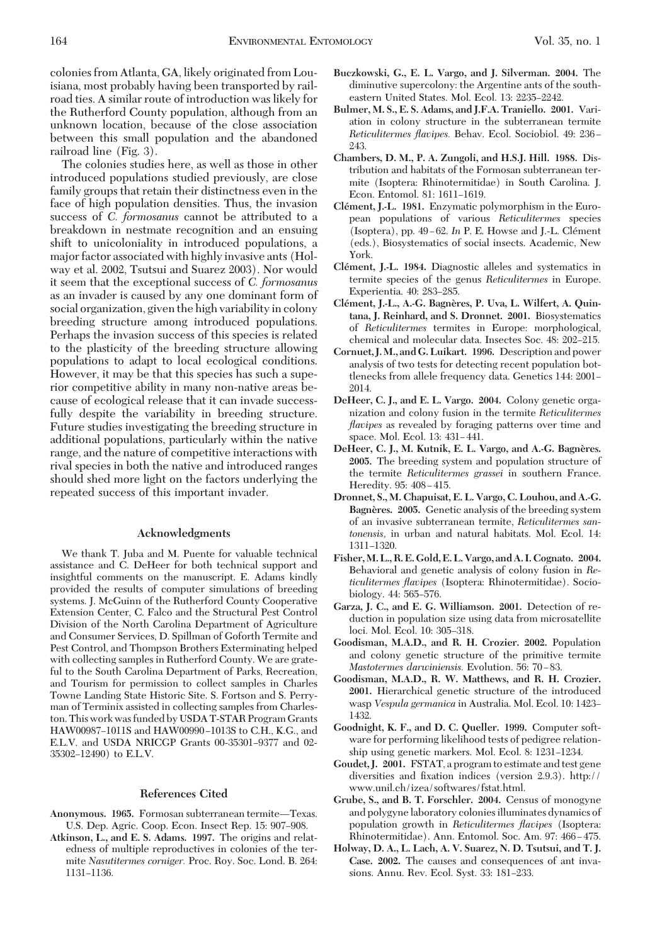colonies from Atlanta, GA, likely originated from Louisiana, most probably having been transported by railroad ties. A similar route of introduction was likely for the Rutherford County population, although from an unknown location, because of the close association between this small population and the abandoned railroad line (Fig. 3).

The colonies studies here, as well as those in other introduced populations studied previously, are close family groups that retain their distinctness even in the face of high population densities. Thus, the invasion success of *C. formosanus* cannot be attributed to a breakdown in nestmate recognition and an ensuing shift to unicoloniality in introduced populations, a major factor associated with highly invasive ants (Holway et al. 2002, Tsutsui and Suarez 2003). Nor would it seem that the exceptional success of *C. formosanus* as an invader is caused by any one dominant form of social organization, given the high variability in colony breeding structure among introduced populations. Perhaps the invasion success of this species is related to the plasticity of the breeding structure allowing populations to adapt to local ecological conditions. However, it may be that this species has such a superior competitive ability in many non-native areas because of ecological release that it can invade successfully despite the variability in breeding structure. Future studies investigating the breeding structure in additional populations, particularly within the native range, and the nature of competitive interactions with rival species in both the native and introduced ranges should shed more light on the factors underlying the repeated success of this important invader.

### **Acknowledgments**

We thank T. Juba and M. Puente for valuable technical assistance and C. DeHeer for both technical support and insightful comments on the manuscript. E. Adams kindly provided the results of computer simulations of breeding systems. J. McGuinn of the Rutherford County Cooperative Extension Center, C. Falco and the Structural Pest Control Division of the North Carolina Department of Agriculture and Consumer Services, D. Spillman of Goforth Termite and Pest Control, and Thompson Brothers Exterminating helped with collecting samples in Rutherford County. We are grateful to the South Carolina Department of Parks, Recreation, and Tourism for permission to collect samples in Charles Towne Landing State Historic Site. S. Fortson and S. Perryman of Terminix assisted in collecting samples from Charleston. This work was funded by USDA T-STAR Program Grants HAW00987-1011S and HAW00990-1013S to C.H., K.G., and E.L.V. and USDA NRICGP Grants 00-35301-9377 and 02-35302-12490) to E.L.V.

## **References Cited**

- Anonymous. 1965. Formosan subterranean termite—Texas. U.S. Dep. Agric. Coop. Econ. Insect Rep. 15: 907-908.
- **Atkinson, L., and E. S. Adams. 1997.** The origins and relatedness of multiple reproductives in colonies of the termite *Nasutitermes corniger.* Proc. Roy. Soc. Lond. B. 264: 1131-1136.
- **Buczkowski, G., E. L. Vargo, and J. Silverman. 2004.** The diminutive supercolony: the Argentine ants of the southeastern United States. Mol. Ecol. 13: 2235-2242.
- **Bulmer, M. S., E. S. Adams, and J.F.A. Traniello. 2001.** Variation in colony structure in the subterranean termite *Reticulitermes flavipes.* Behav. Ecol. Sociobiol. 49: 236 -243.
- **Chambers, D. M., P. A. Zungoli, and H.S.J. Hill. 1988.** Distribution and habitats of the Formosan subterranean termite (Isoptera: Rhinotermitidae) in South Carolina. J. Econ. Entomol. 81: 1611-1619.
- **Cle´ment, J.-L. 1981.** Enzymatic polymorphism in the European populations of various *Reticulitermes* species (Isoptera), pp. 49-62. *In* P. E. Howse and J.-L. Clément (eds.), Biosystematics of social insects. Academic, New York.
- **Cle´ment, J.-L. 1984.** Diagnostic alleles and systematics in termite species of the genus *Reticulitermes* in Europe. Experientia. 40: 283-285.
- **Cle´ment, J.-L., A.-G. Bagne`res, P. Uva, L. Wilfert, A. Quintana, J. Reinhard, and S. Dronnet. 2001.** Biosystematics of *Reticulitermes* termites in Europe: morphological, chemical and molecular data. Insectes Soc. 48: 202-215.
- **Cornuet, J.M., and G. Luikart. 1996.** Description and power analysis of two tests for detecting recent population bottlenecks from allele frequency data. Genetics 144: 2001– 2014.
- **DeHeer, C. J., and E. L. Vargo. 2004.** Colony genetic organization and colony fusion in the termite *Reticulitermes flavipes* as revealed by foraging patterns over time and space. Mol. Ecol. 13: 431-441.
- **DeHeer, C. J., M. Kutnik, E. L. Vargo, and A.-G. Bagne`res. 2005.** The breeding system and population structure of the termite *Reticulitermes grassei* in southern France. Heredity. 95: 408-415.
- **Dronnet, S., M. Chapuisat, E. L. Vargo, C. Louhou, and A.-G. Bagne`res. 2005.** Genetic analysis of the breeding system of an invasive subterranean termite, *Reticulitermes santonensis,* in urban and natural habitats. Mol. Ecol. 14: 1311-1320.
- **Fisher,M. L., R. E. Gold, E. L. Vargo, and A. I. Cognato. 2004.** Behavioral and genetic analysis of colony fusion in *Reticulitermes flavipes* (Isoptera: Rhinotermitidae). Sociobiology. 44: 565-576.
- **Garza, J. C., and E. G. Williamson. 2001.** Detection of reduction in population size using data from microsatellite loci. Mol. Ecol. 10: 305-318.
- **Goodisman, M.A.D., and R. H. Crozier. 2002.** Population and colony genetic structure of the primitive termite *Mastotermes darwiniensis.* Evolution. 56: 70-83.
- **Goodisman, M.A.D., R. W. Matthews, and R. H. Crozier. 2001.** Hierarchical genetic structure of the introduced wasp *Vespula germanica* in Australia. Mol. Ecol. 10: 1423– 1432.
- **Goodnight, K. F., and D. C. Queller. 1999.** Computer software for performing likelihood tests of pedigree relationship using genetic markers. Mol. Ecol. 8: 1231–1234.
- **Goudet, J. 2001.** FSTAT, a program to estimate and test gene diversities and fixation indices (version 2.9.3). http:// www.unil.ch/izea/softwares/fstat.html.
- **Grube, S., and B. T. Forschler. 2004.** Census of monogyne and polygyne laboratory colonies illuminates dynamics of population growth in *Reticulitermes flavipes* (Isoptera: Rhinotermitidae). Ann. Entomol. Soc. Am. 97: 466-475.
- **Holway, D. A., L. Lach, A. V. Suarez, N. D. Tsutsui, and T. J. Case. 2002.** The causes and consequences of ant invasions. Annu. Rev. Ecol. Syst. 33: 181-233.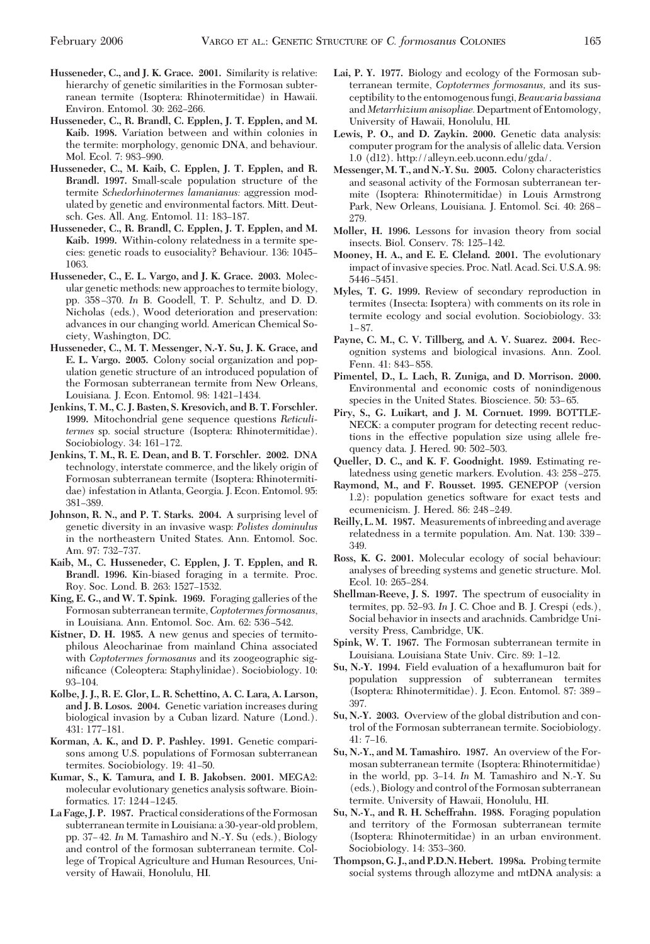- **Husseneder, C., and J. K. Grace. 2001.** Similarity is relative: hierarchy of genetic similarities in the Formosan subterranean termite (Isoptera: Rhinotermitidae) in Hawaii. Environ. Entomol. 30: 262-266.
- **Husseneder, C., R. Brandl, C. Epplen, J. T. Epplen, and M. Kaib. 1998.** Variation between and within colonies in the termite: morphology, genomic DNA, and behaviour. Mol. Ecol. 7: 983-990.
- **Husseneder, C., M. Kaib, C. Epplen, J. T. Epplen, and R. Brandl. 1997.** Small-scale population structure of the termite *Schedorhinotermes lamanianus:* aggression modulated by genetic and environmental factors. Mitt. Deutsch. Ges. All. Ang. Entomol. 11: 183-187.
- **Husseneder, C., R. Brandl, C. Epplen, J. T. Epplen, and M. Kaib. 1999.** Within-colony relatedness in a termite species: genetic roads to eusociality? Behaviour. 136: 1045-1063.
- **Husseneder, C., E. L. Vargo, and J. K. Grace. 2003.** Molecular genetic methods: new approaches to termite biology, pp. 358 Ð370. *In* B. Goodell, T. P. Schultz, and D. D. Nicholas (eds.), Wood deterioration and preservation: advances in our changing world. American Chemical Society, Washington, DC.
- **Husseneder, C., M. T. Messenger, N.-Y. Su, J. K. Grace, and E. L. Vargo. 2005.** Colony social organization and population genetic structure of an introduced population of the Formosan subterranean termite from New Orleans, Louisiana. J. Econ. Entomol. 98: 1421-1434.
- **Jenkins, T. M., C. J. Basten, S. Kresovich, and B. T. Forschler. 1999.** Mitochondrial gene sequence questions *Reticulitermes* sp. social structure (Isoptera: Rhinotermitidae). Sociobiology. 34: 161-172.
- **Jenkins, T. M., R. E. Dean, and B. T. Forschler. 2002.** DNA technology, interstate commerce, and the likely origin of Formosan subterranean termite (Isoptera: Rhinotermitidae) infestation in Atlanta, Georgia. J. Econ. Entomol. 95: 381-389.
- **Johnson, R. N., and P. T. Starks. 2004.** A surprising level of genetic diversity in an invasive wasp: *Polistes dominulus* in the northeastern United States. Ann. Entomol. Soc. Am. 97: 732-737.
- **Kaib, M., C. Husseneder, C. Epplen, J. T. Epplen, and R. Brandl. 1996.** Kin-biased foraging in a termite. Proc. Roy. Soc. Lond. B. 263: 1527-1532.
- **King, E. G., and W. T. Spink. 1969.** Foraging galleries of the Formosan subterranean termite,*Coptotermes formosanus*, in Louisiana. Ann. Entomol. Soc. Am. 62: 536-542.
- **Kistner, D. H. 1985.** A new genus and species of termitophilous Aleocharinae from mainland China associated with *Coptotermes formosanus* and its zoogeographic significance (Coleoptera: Staphylinidae). Sociobiology. 10: 93-104.
- **Kolbe, J. J., R. E. Glor, L. R. Schettino, A. C. Lara, A. Larson, and J. B. Losos. 2004.** Genetic variation increases during biological invasion by a Cuban lizard. Nature (Lond.). 431: 177-181.
- **Korman, A. K., and D. P. Pashley. 1991.** Genetic comparisons among U.S. populations of Formosan subterranean termites. Sociobiology. 19: 41–50.
- **Kumar, S., K. Tamura, and I. B. Jakobsen. 2001.** MEGA2: molecular evolutionary genetics analysis software. Bioinformatics. 17: 1244-1245.
- **La Fage, J. P. 1987.** Practical considerations of the Formosan subterranean termite in Louisiana: a 30-year-old problem, pp. 37–42. *In* M. Tamashiro and N.-Y. Su (eds.), Biology and control of the formosan subterranean termite. College of Tropical Agriculture and Human Resources, University of Hawaii, Honolulu, HI.
- **Lai, P. Y. 1977.** Biology and ecology of the Formosan subterranean termite, *Coptotermes formosanus,* and its susceptibility to the entomogenous fungi,*Beauvaria bassiana* and *Metarrhizium anisopliae.* Department of Entomology, University of Hawaii, Honolulu, HI.
- **Lewis, P. O., and D. Zaykin. 2000.** Genetic data analysis: computer program for the analysis of allelic data. Version 1.0 (d12). http://alleyn.eeb.uconn.edu/gda/.
- **Messenger, M. T., and N.-Y. Su. 2005.** Colony characteristics and seasonal activity of the Formosan subterranean termite (Isoptera: Rhinotermitidae) in Louis Armstrong Park, New Orleans, Louisiana. J. Entomol. Sci. 40: 268 -279.
- **Moller, H. 1996.** Lessons for invasion theory from social insects. Biol. Conserv. 78: 125-142.
- **Mooney, H. A., and E. E. Cleland. 2001.** The evolutionary impact of invasive species. Proc. Natl. Acad. Sci. U.S.A. 98: 5446-5451.
- **Myles, T. G. 1999.** Review of secondary reproduction in termites (Insecta: Isoptera) with comments on its role in termite ecology and social evolution. Sociobiology. 33:  $1 - 87$
- **Payne, C. M., C. V. Tillberg, and A. V. Suarez. 2004.** Recognition systems and biological invasions. Ann. Zool. Fenn. 41: 843-858.
- **Pimentel, D., L. Lach, R. Zuniga, and D. Morrison. 2000.** Environmental and economic costs of nonindigenous species in the United States. Bioscience. 50: 53–65.
- **Piry, S., G. Luikart, and J. M. Cornuet. 1999.** BOTTLE-NECK: a computer program for detecting recent reductions in the effective population size using allele frequency data. J. Hered. 90: 502-503.
- **Queller, D. C., and K. F. Goodnight. 1989.** Estimating relatedness using genetic markers. Evolution. 43: 258-275.
- **Raymond, M., and F. Rousset. 1995.** GENEPOP (version 1.2): population genetics software for exact tests and ecumenicism. J. Hered. 86: 248-249.
- **Reilly, L.M. 1987.** Measurements ofinbreeding and average relatedness in a termite population. Am. Nat. 130: 339 – 349.
- **Ross, K. G. 2001.** Molecular ecology of social behaviour: analyses of breeding systems and genetic structure. Mol. Ecol. 10: 265-284.
- **Shellman-Reeve, J. S. 1997.** The spectrum of eusociality in termites, pp. 52-93. In J. C. Choe and B. J. Crespi (eds.), Social behavior in insects and arachnids. Cambridge University Press, Cambridge, UK.
- **Spink, W. T. 1967.** The Formosan subterranean termite in Louisiana. Louisiana State Univ. Circ. 89: 1-12.
- Su, N.-Y. 1994. Field evaluation of a hexaflumuron bait for population suppression of subterranean termites (Isoptera: Rhinotermitidae). J. Econ. Entomol. 87: 389-397.
- **Su, N.-Y. 2003.** Overview of the global distribution and control of the Formosan subterranean termite. Sociobiology.  $41: 7-16.$
- **Su, N.-Y., and M. Tamashiro. 1987.** An overview of the Formosan subterranean termite (Isoptera: Rhinotermitidae) in the world, pp. 3–14. *In* M. Tamashiro and N.-Y. Su (eds.), Biology and control of the Formosan subterranean termite. University of Hawaii, Honolulu, HI.
- **Su, N.-Y., and R. H. Scheffrahn. 1988.** Foraging population and territory of the Formosan subterranean termite (Isoptera: Rhinotermitidae) in an urban environment. Sociobiology. 14: 353-360.
- **Thompson, G. J., and P.D.N. Hebert. 1998a.** Probing termite social systems through allozyme and mtDNA analysis: a